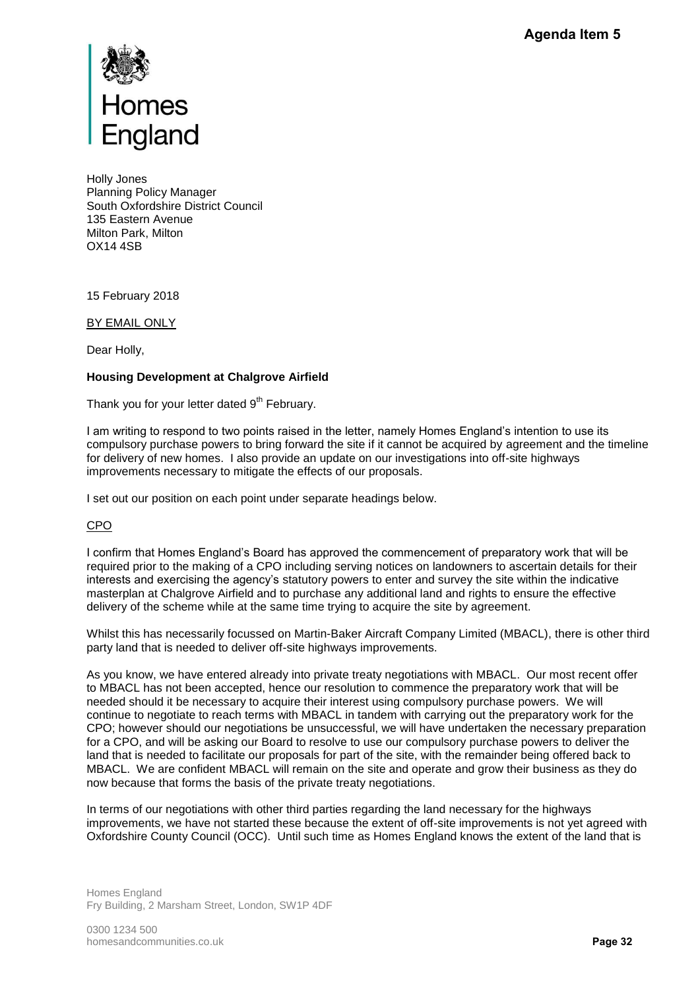

Holly Jones Planning Policy Manager South Oxfordshire District Council 135 Eastern Avenue Milton Park, Milton OX14 4SB

15 February 2018

BY EMAIL ONLY

Dear Holly,

## **Housing Development at Chalgrove Airfield**

Thank you for your letter dated  $9<sup>th</sup>$  February.

I am writing to respond to two points raised in the letter, namely Homes England's intention to use its compulsory purchase powers to bring forward the site if it cannot be acquired by agreement and the timeline for delivery of new homes. I also provide an update on our investigations into off-site highways improvements necessary to mitigate the effects of our proposals.

I set out our position on each point under separate headings below.

## CPO

I confirm that Homes England's Board has approved the commencement of preparatory work that will be required prior to the making of a CPO including serving notices on landowners to ascertain details for their interests and exercising the agency's statutory powers to enter and survey the site within the indicative masterplan at Chalgrove Airfield and to purchase any additional land and rights to ensure the effective delivery of the scheme while at the same time trying to acquire the site by agreement.

Whilst this has necessarily focussed on Martin-Baker Aircraft Company Limited (MBACL), there is other third party land that is needed to deliver off-site highways improvements.

As you know, we have entered already into private treaty negotiations with MBACL. Our most recent offer to MBACL has not been accepted, hence our resolution to commence the preparatory work that will be needed should it be necessary to acquire their interest using compulsory purchase powers. We will continue to negotiate to reach terms with MBACL in tandem with carrying out the preparatory work for the CPO; however should our negotiations be unsuccessful, we will have undertaken the necessary preparation for a CPO, and will be asking our Board to resolve to use our compulsory purchase powers to deliver the land that is needed to facilitate our proposals for part of the site, with the remainder being offered back to MBACL. We are confident MBACL will remain on the site and operate and grow their business as they do now because that forms the basis of the private treaty negotiations. **Agenda Item 5**<br>**Pagenda Item 5**<br>**Pagenda Item 5**<br>**Pagenda Item 3**<br>**Pagenda Item 3**<br>**Pagenda Item is on the infining the effective signer offer it.**<br>**ACL**), there is other to MC<br>**Pagenda Item 3**<br>**Pages 32**<br>**Page 32**<br>**Page** 

In terms of our negotiations with other third parties regarding the land necessary for the highways improvements, we have not started these because the extent of off-site improvements is not yet agreed with Oxfordshire County Council (OCC). Until such time as Homes England knows the extent of the land that is

Homes England Fry Building, 2 Marsham Street, London, SW1P 4DF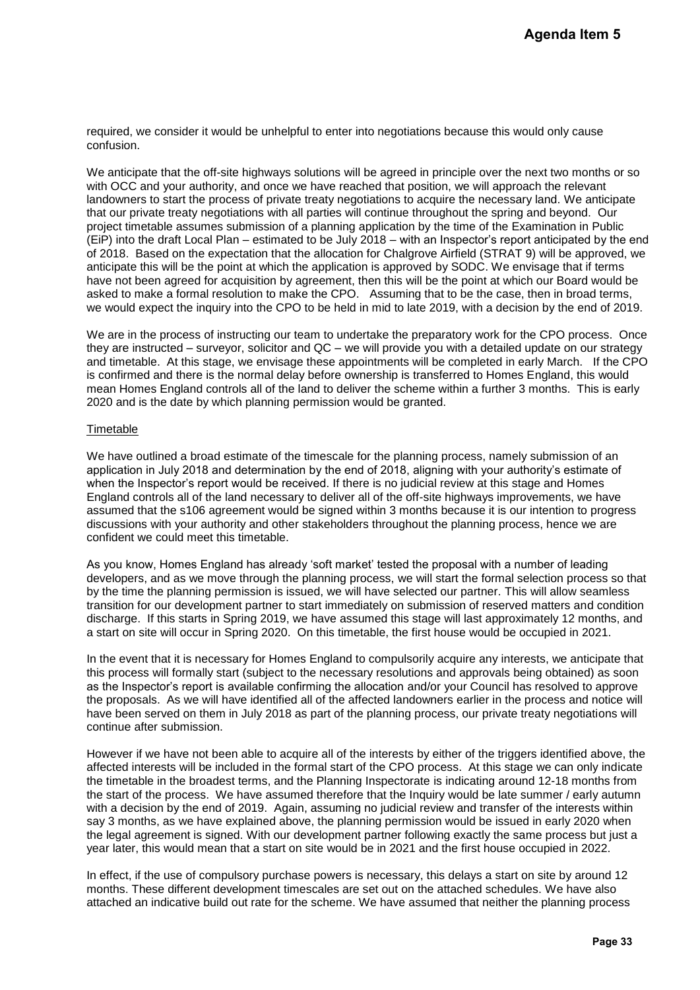required, we consider it would be unhelpful to enter into negotiations because this would only cause confusion.

We anticipate that the off-site highways solutions will be agreed in principle over the next two months or so with OCC and your authority, and once we have reached that position, we will approach the relevant landowners to start the process of private treaty negotiations to acquire the necessary land. We anticipate that our private treaty negotiations with all parties will continue throughout the spring and beyond. Our project timetable assumes submission of a planning application by the time of the Examination in Public (EiP) into the draft Local Plan – estimated to be July 2018 – with an Inspector's report anticipated by the end of 2018. Based on the expectation that the allocation for Chalgrove Airfield (STRAT 9) will be approved, we anticipate this will be the point at which the application is approved by SODC. We envisage that if terms have not been agreed for acquisition by agreement, then this will be the point at which our Board would be asked to make a formal resolution to make the CPO. Assuming that to be the case, then in broad terms, we would expect the inquiry into the CPO to be held in mid to late 2019, with a decision by the end of 2019. **Agenda Item 5**<br>
ould only cause<br>
next two months or s<br>
ach the relevant<br>
and beyond. We anticipate<br>
and beyond. Our<br>
and melovind in Public<br>
of anticipated by the 49<br>
9) will be approved,<br>
9) will be approved,<br>
the origin

We are in the process of instructing our team to undertake the preparatory work for the CPO process. Once they are instructed – surveyor, solicitor and QC – we will provide you with a detailed update on our strategy and timetable. At this stage, we envisage these appointments will be completed in early March. If the CPO is confirmed and there is the normal delay before ownership is transferred to Homes England, this would mean Homes England controls all of the land to deliver the scheme within a further 3 months. This is early 2020 and is the date by which planning permission would be granted.

## **Timetable**

We have outlined a broad estimate of the timescale for the planning process, namely submission of an application in July 2018 and determination by the end of 2018, aligning with your authority's estimate of when the Inspector's report would be received. If there is no judicial review at this stage and Homes England controls all of the land necessary to deliver all of the off-site highways improvements, we have assumed that the s106 agreement would be signed within 3 months because it is our intention to progress discussions with your authority and other stakeholders throughout the planning process, hence we are confident we could meet this timetable.

As you know, Homes England has already 'soft market' tested the proposal with a number of leading developers, and as we move through the planning process, we will start the formal selection process so that by the time the planning permission is issued, we will have selected our partner. This will allow seamless transition for our development partner to start immediately on submission of reserved matters and condition discharge. If this starts in Spring 2019, we have assumed this stage will last approximately 12 months, and a start on site will occur in Spring 2020. On this timetable, the first house would be occupied in 2021.

In the event that it is necessary for Homes England to compulsorily acquire any interests, we anticipate that this process will formally start (subject to the necessary resolutions and approvals being obtained) as soon as the Inspector's report is available confirming the allocation and/or your Council has resolved to approve the proposals. As we will have identified all of the affected landowners earlier in the process and notice will have been served on them in July 2018 as part of the planning process, our private treaty negotiations will continue after submission.

However if we have not been able to acquire all of the interests by either of the triggers identified above, the affected interests will be included in the formal start of the CPO process. At this stage we can only indicate the timetable in the broadest terms, and the Planning Inspectorate is indicating around 12-18 months from the start of the process. We have assumed therefore that the Inquiry would be late summer / early autumn with a decision by the end of 2019. Again, assuming no judicial review and transfer of the interests within say 3 months, as we have explained above, the planning permission would be issued in early 2020 when the legal agreement is signed. With our development partner following exactly the same process but just a year later, this would mean that a start on site would be in 2021 and the first house occupied in 2022.

In effect, if the use of compulsory purchase powers is necessary, this delays a start on site by around 12 months. These different development timescales are set out on the attached schedules. We have also attached an indicative build out rate for the scheme. We have assumed that neither the planning process